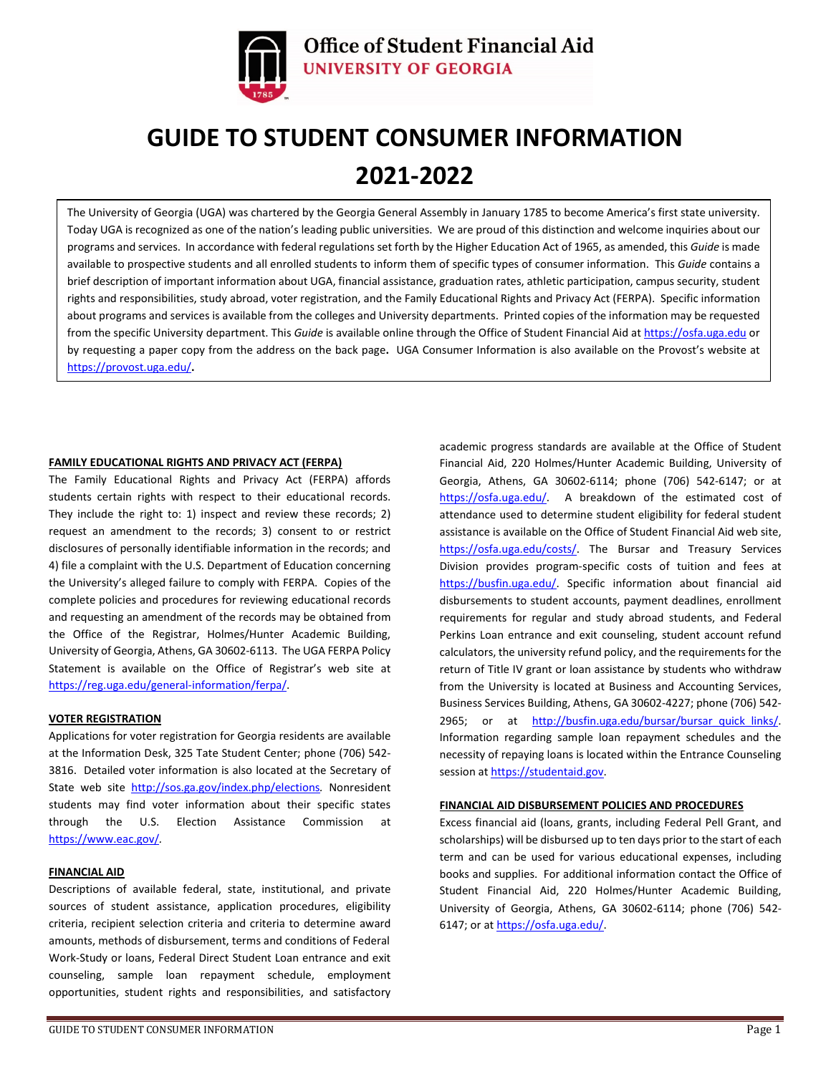

# **GUIDE TO STUDENT CONSUMER INFORMATION 2021-2022**

The University of Georgia (UGA) was chartered by the Georgia General Assembly in January 1785 to become America's first state university. Today UGA is recognized as one of the nation's leading public universities. We are proud of this distinction and welcome inquiries about our programs and services. In accordance with federal regulations set forth by the Higher Education Act of 1965, as amended, this *Guide* is made available to prospective students and all enrolled students to inform them of specific types of consumer information. This *Guide* contains a brief description of important information about UGA, financial assistance, graduation rates, athletic participation, campus security, student rights and responsibilities, study abroad, voter registration, and the Family Educational Rights and Privacy Act (FERPA). Specific information about programs and services is available from the colleges and University departments. Printed copies of the information may be requested from the specific University department. This *Guide* is available online through the Office of Student Financial Aid at [https://osfa.uga.edu](https://osfa.uga.edu/) or by requesting a paper copy from the address on the back page**.** UGA Consumer Information is also available on the Provost's website at <https://provost.uga.edu/>**.**

# **FAMILY EDUCATIONAL RIGHTS AND PRIVACY ACT (FERPA)**

The Family Educational Rights and Privacy Act (FERPA) affords students certain rights with respect to their educational records. They include the right to: 1) inspect and review these records; 2) request an amendment to the records; 3) consent to or restrict disclosures of personally identifiable information in the records; and 4) file a complaint with the U.S. Department of Education concerning the University's alleged failure to comply with FERPA. Copies of the complete policies and procedures for reviewing educational records and requesting an amendment of the records may be obtained from the Office of the Registrar, Holmes/Hunter Academic Building, University of Georgia, Athens, GA 30602-6113. The UGA FERPA Policy Statement is available on the Office of Registrar's web site at [https://reg.uga.edu/general-information/ferpa/.](https://reg.uga.edu/general-information/ferpa/)

#### **VOTER REGISTRATION**

Applications for voter registration for Georgia residents are available at the Information Desk, 325 Tate Student Center; phone (706) 542- 3816. Detailed voter information is also located at the Secretary of State web site <http://sos.ga.gov/index.php/elections>*.* Nonresident students may find voter information about their specific states through the U.S. Election Assistance Commission at <https://www.eac.gov/>*.*

## **FINANCIAL AID**

Descriptions of available federal, state, institutional, and private sources of student assistance, application procedures, eligibility criteria, recipient selection criteria and criteria to determine award amounts, methods of disbursement, terms and conditions of Federal Work-Study or loans, Federal Direct Student Loan entrance and exit counseling, sample loan repayment schedule, employment opportunities, student rights and responsibilities, and satisfactory

academic progress standards are available at the Office of Student Financial Aid, 220 Holmes/Hunter Academic Building, University of Georgia, Athens, GA 30602-6114; phone (706) 542-6147; or at [https://osfa.uga.edu/.](https://osfa.uga.edu/) A breakdown of the estimated cost of attendance used to determine student eligibility for federal student assistance is available on the Office of Student Financial Aid web site, [https://osfa.uga.edu/costs/.](https://osfa.uga.edu/costs/) The Bursar and Treasury Services Division provides program-specific costs of tuition and fees at [https://busfin.uga.edu/.](https://busfin.uga.edu/bursar/bursar_quick_links/) Specific information about financial aid disbursements to student accounts, payment deadlines, enrollment requirements for regular and study abroad students, and Federal Perkins Loan entrance and exit counseling, student account refund calculators, the university refund policy, and the requirements for the return of Title IV grant or loan assistance by students who withdraw from the University is located at Business and Accounting Services, Business Services Building, Athens, GA 30602-4227; phone (706) 542 2965; or at [http://busfin.uga.edu/bursar/bursar\\_quick\\_links/.](http://busfin.uga.edu/bursar/bursar_quick_links/) Information regarding sample loan repayment schedules and the necessity of repaying loans is located within the Entrance Counseling session at [https://studentaid.gov.](https://studentaid.gov/app/counselingInstructions.action?counselingType=entrance)

## **FINANCIAL AID DISBURSEMENT POLICIES AND PROCEDURES**

Excess financial aid (loans, grants, including Federal Pell Grant, and scholarships) will be disbursed up to ten days prior to the start of each term and can be used for various educational expenses, including books and supplies. For additional information contact the Office of Student Financial Aid, 220 Holmes/Hunter Academic Building, University of Georgia, Athens, GA 30602-6114; phone (706) 542 6147; or a[t https://osfa.uga.edu/.](https://osfa.uga.edu/)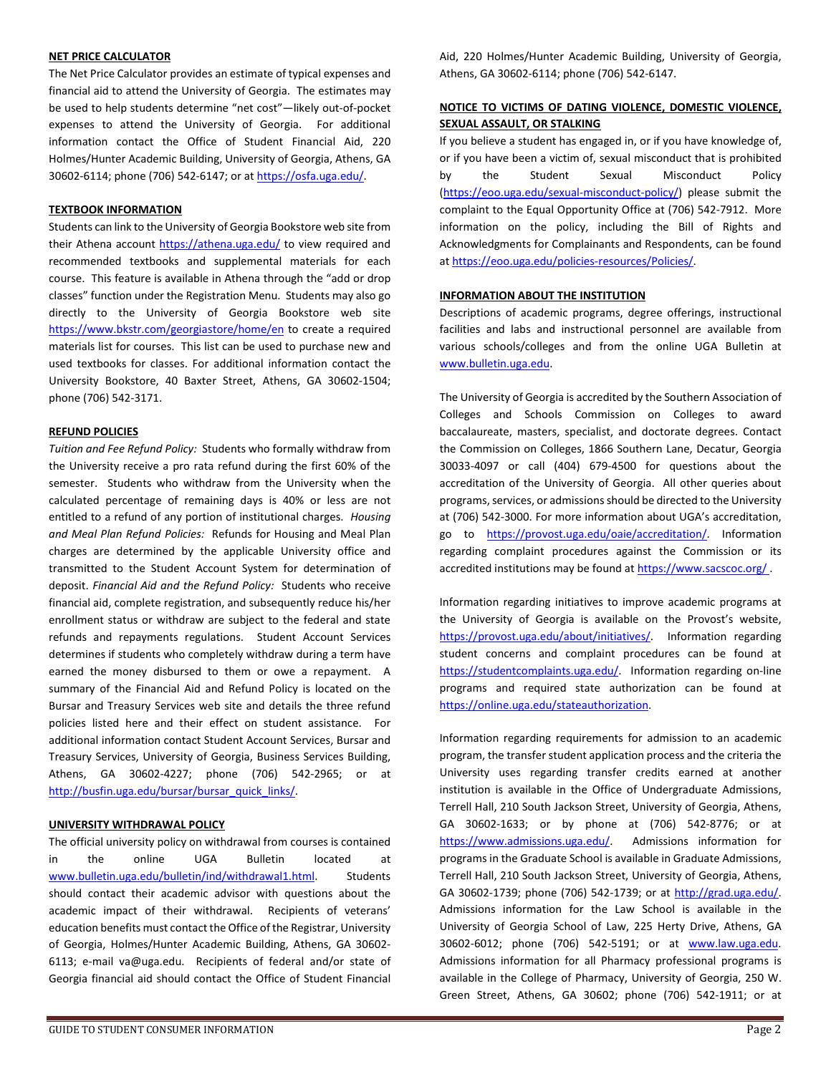#### **NET PRICE CALCULATOR**

The Net Price Calculator provides an estimate of typical expenses and financial aid to attend the University of Georgia. The estimates may be used to help students determine "net cost"—likely out-of-pocket expenses to attend the University of Georgia. For additional information contact the Office of Student Financial Aid, 220 Holmes/Hunter Academic Building, University of Georgia, Athens, GA 30602-6114; phone (706) 542-6147; or a[t https://osfa.uga.edu/.](https://osfa.uga.edu/)

#### **TEXTBOOK INFORMATION**

Students can link to the University of Georgia Bookstore web site from their Athena account <https://athena.uga.edu/> to view required and recommended textbooks and supplemental materials for each course. This feature is available in Athena through the "add or drop classes" function under the Registration Menu. Students may also go directly to the University of Georgia Bookstore web site <https://www.bkstr.com/georgiastore/home/en> to create a required materials list for courses. This list can be used to purchase new and used textbooks for classes. For additional information contact the University Bookstore, 40 Baxter Street, Athens, GA 30602-1504; phone (706) 542-3171.

## **REFUND POLICIES**

*Tuition and Fee Refund Policy:* Students who formally withdraw from the University receive a pro rata refund during the first 60% of the semester. Students who withdraw from the University when the calculated percentage of remaining days is 40% or less are not entitled to a refund of any portion of institutional charges. *Housing and Meal Plan Refund Policies:* Refunds for Housing and Meal Plan charges are determined by the applicable University office and transmitted to the Student Account System for determination of deposit. *Financial Aid and the Refund Policy:* Students who receive financial aid, complete registration, and subsequently reduce his/her enrollment status or withdraw are subject to the federal and state refunds and repayments regulations. Student Account Services determines if students who completely withdraw during a term have earned the money disbursed to them or owe a repayment. A summary of the Financial Aid and Refund Policy is located on the Bursar and Treasury Services web site and details the three refund policies listed here and their effect on student assistance. For additional information contact Student Account Services, Bursar and Treasury Services, University of Georgia, Business Services Building, Athens, GA 30602-4227; phone (706) 542-2965; or at [http://busfin.uga.edu/bursar/bursar\\_quick\\_links/.](http://busfin.uga.edu/bursar/bursar_quick_links/)

#### **UNIVERSITY WITHDRAWAL POLICY**

The official university policy on withdrawal from courses is contained in the online UGA Bulletin located at [www.bulletin.uga.edu/bulletin/ind/withdrawal1.html.](http://www.bulletin.uga.edu/bulletin/ind/withdrawal1.html) Students should contact their academic advisor with questions about the academic impact of their withdrawal. Recipients of veterans' education benefits must contact the Office of the Registrar, University of Georgia, Holmes/Hunter Academic Building, Athens, GA 30602- 6113; e-mail va@uga.edu. Recipients of federal and/or state of Georgia financial aid should contact the Office of Student Financial Aid, 220 Holmes/Hunter Academic Building, University of Georgia, Athens, GA 30602-6114; phone (706) 542-6147.

# **NOTICE TO VICTIMS OF DATING VIOLENCE, DOMESTIC VIOLENCE, SEXUAL ASSAULT, OR STALKING**

If you believe a student has engaged in, or if you have knowledge of, or if you have been a victim of, sexual misconduct that is prohibited by the Student Sexual Misconduct Policy [\(https://eoo.uga.edu/sexual-misconduct-policy/\)](https://eoo.uga.edu/sexual-misconduct-policy/) please submit the complaint to the Equal Opportunity Office at (706) 542-7912. More information on the policy, including the Bill of Rights and Acknowledgments for Complainants and Respondents, can be found at [https://eoo.uga.edu/policies-resources/Policies/.](https://eoo.uga.edu/policies-resources/Policies/)

#### **INFORMATION ABOUT THE INSTITUTION**

Descriptions of academic programs, degree offerings, instructional facilities and labs and instructional personnel are available from various schools/colleges and from the online UGA Bulletin at [www.bulletin.uga.edu.](http://www.bulletin.uga.edu/)

The University of Georgia is accredited by the Southern Association of Colleges and Schools Commission on Colleges to award baccalaureate, masters, specialist, and doctorate degrees. Contact the Commission on Colleges, 1866 Southern Lane, Decatur, Georgia 30033-4097 or call (404) 679-4500 for questions about the accreditation of the University of Georgia. All other queries about programs, services, or admissions should be directed to the University at (706) 542-3000. For more information about UGA's accreditation, go to [https://provost.uga.edu/oaie/accreditation/.](https://provost.uga.edu/oaie/accreditation/) Information regarding complaint procedures against the Commission or its accredited institutions may be found at [https://www.sacscoc.org/ .](https://www.sacscoc.org/)

Information regarding initiatives to improve academic programs at the University of Georgia is available on the Provost's website, [https://provost.uga.edu/about/initiatives/.](https://provost.uga.edu/about/initiatives/) Information regarding student concerns and complaint procedures can be found at [https://studentcomplaints.uga.edu/.](https://studentcomplaints.uga.edu/) Information regarding on-line programs and required state authorization can be found at [https://online.uga.edu/stateauthorization.](https://online.uga.edu/stateauthorization)

Information regarding requirements for admission to an academic program, the transfer student application process and the criteria the University uses regarding transfer credits earned at another institution is available in the Office of Undergraduate Admissions, Terrell Hall, 210 South Jackson Street, University of Georgia, Athens, GA 30602-1633; or by phone at (706) 542-8776; or at [https://www.admissions.uga.edu/.](https://www.admissions.uga.edu/) Admissions information for programs in the Graduate School is available in Graduate Admissions, Terrell Hall, 210 South Jackson Street, University of Georgia, Athens, GA 30602-1739; phone (706) 542-1739; or at [http://grad.uga.edu/.](http://grad.uga.edu/) Admissions information for the Law School is available in the University of Georgia School of Law, 225 Herty Drive, Athens, GA 30602-6012; phone (706) 542-5191; or at [www.law.uga.edu.](http://www.law.uga.edu/) Admissions information for all Pharmacy professional programs is available in the College of Pharmacy, University of Georgia, 250 W. Green Street, Athens, GA 30602; phone (706) 542-1911; or at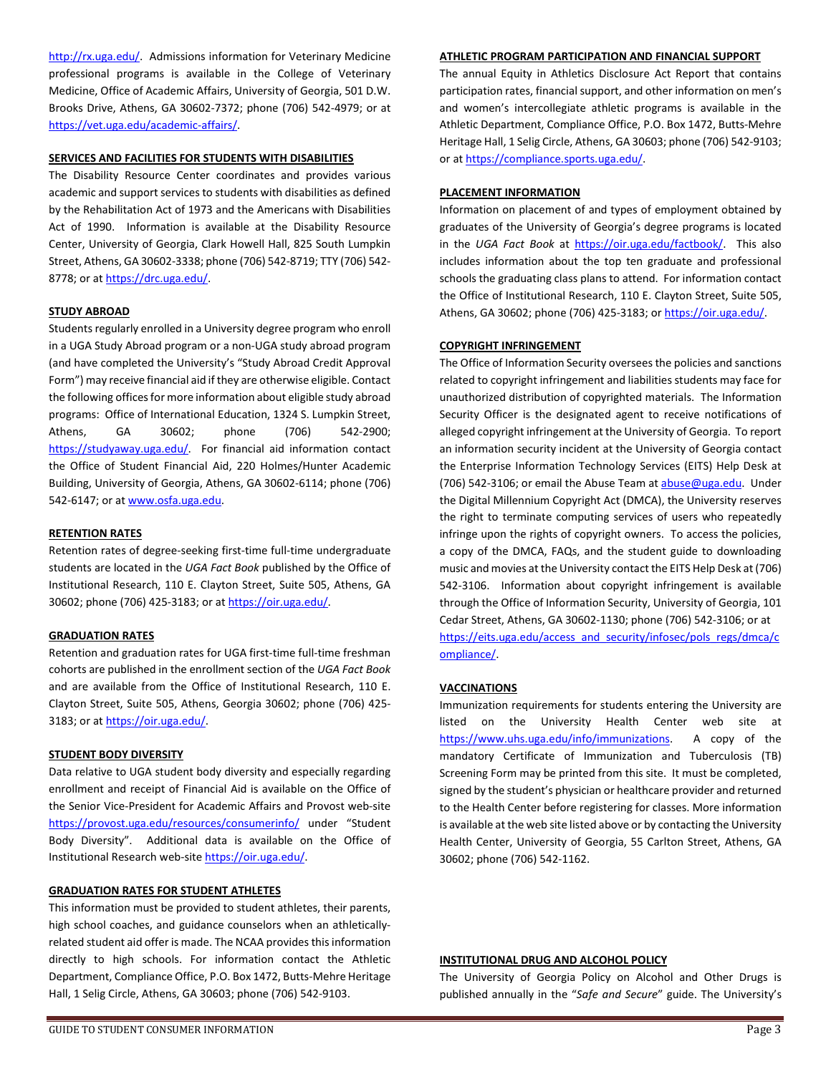[http://rx.uga.edu/.](http://rx.uga.edu/) Admissions information for Veterinary Medicine professional programs is available in the College of Veterinary Medicine, Office of Academic Affairs, University of Georgia, 501 D.W. Brooks Drive, Athens, GA 30602-7372; phone (706) 542-4979; or at [https://vet.uga.edu/academic-affairs/.](https://vet.uga.edu/academic-affairs/)

## **SERVICES AND FACILITIES FOR STUDENTS WITH DISABILITIES**

The Disability Resource Center coordinates and provides various academic and support services to students with disabilities as defined by the Rehabilitation Act of 1973 and the Americans with Disabilities Act of 1990. Information is available at the Disability Resource Center, University of Georgia, Clark Howell Hall, 825 South Lumpkin Street, Athens, GA 30602-3338; phone (706) 542-8719; TTY (706) 542- 8778; or at [https://drc.uga.edu/.](https://drc.uga.edu/)

## **STUDY ABROAD**

Students regularly enrolled in a University degree program who enroll in a UGA Study Abroad program or a non-UGA study abroad program (and have completed the University's "Study Abroad Credit Approval Form") may receive financial aid if they are otherwise eligible. Contact the following offices for more information about eligible study abroad programs: Office of International Education, 1324 S. Lumpkin Street, Athens, GA 30602; phone (706) 542-2900; [https://studyaway.uga.edu/.](https://studyaway.uga.edu/) For financial aid information contact the Office of Student Financial Aid, 220 Holmes/Hunter Academic Building, University of Georgia, Athens, GA 30602-6114; phone (706) 542-6147; or a[t www.osfa.uga.edu.](http://www.osfa.uga.edu/)

#### **RETENTION RATES**

Retention rates of degree-seeking first-time full-time undergraduate students are located in the *UGA Fact Book* published by the Office of Institutional Research, 110 E. Clayton Street, Suite 505, Athens, GA 30602; phone (706) 425-3183; or at [https://oir.uga.edu/.](https://oir.uga.edu/)

#### **GRADUATION RATES**

Retention and graduation rates for UGA first-time full-time freshman cohorts are published in the enrollment section of the *UGA Fact Book* and are available from the Office of Institutional Research, 110 E. Clayton Street, Suite 505, Athens, Georgia 30602; phone (706) 425- 3183; or a[t https://oir.uga.edu/.](https://oir.uga.edu/)

#### **STUDENT BODY DIVERSITY**

Data relative to UGA student body diversity and especially regarding enrollment and receipt of Financial Aid is available on the Office of the Senior Vice-President for Academic Affairs and Provost web-site <https://provost.uga.edu/resources/consumerinfo/> under "Student Body Diversity". Additional data is available on the Office of Institutional Research web-sit[e https://oir.uga.edu/.](https://oir.uga.edu/)

#### **GRADUATION RATES FOR STUDENT ATHLETES**

This information must be provided to student athletes, their parents, high school coaches, and guidance counselors when an athleticallyrelated student aid offer is made. The NCAA provides this information directly to high schools. For information contact the Athletic Department, Compliance Office, P.O. Box 1472, Butts-Mehre Heritage Hall, 1 Selig Circle, Athens, GA 30603; phone (706) 542-9103.

#### **ATHLETIC PROGRAM PARTICIPATION AND FINANCIAL SUPPORT**

The annual Equity in Athletics Disclosure Act Report that contains participation rates, financial support, and other information on men's and women's intercollegiate athletic programs is available in the Athletic Department, Compliance Office, P.O. Box 1472, Butts-Mehre Heritage Hall, 1 Selig Circle, Athens, GA 30603; phone (706) 542-9103; or a[t https://compliance.sports.uga.edu/.](https://compliance.sports.uga.edu/)

#### **PLACEMENT INFORMATION**

Information on placement of and types of employment obtained by graduates of the University of Georgia's degree programs is located in the *UGA Fact Book* at [https://oir.uga.edu/factbook/.](https://oir.uga.edu/factbook/) This also includes information about the top ten graduate and professional schools the graduating class plans to attend. For information contact the Office of Institutional Research, 110 E. Clayton Street, Suite 505, Athens, GA 30602; phone (706) 425-3183; or [https://oir.uga.edu/.](https://oir.uga.edu/)

#### **COPYRIGHT INFRINGEMENT**

The Office of Information Security oversees the policies and sanctions related to copyright infringement and liabilities students may face for unauthorized distribution of copyrighted materials. The Information Security Officer is the designated agent to receive notifications of alleged copyright infringement at the University of Georgia. To report an information security incident at the University of Georgia contact the Enterprise Information Technology Services (EITS) Help Desk at (706) 542-3106; or email the Abuse Team at [abuse@uga.edu.](mailto:abuse@uga.edu) Under the Digital Millennium Copyright Act (DMCA), the University reserves the right to terminate computing services of users who repeatedly infringe upon the rights of copyright owners. To access the policies, a copy of the DMCA, FAQs, and the student guide to downloading music and movies at the University contact the EITS Help Desk at (706) 542-3106. Information about copyright infringement is available through the Office of Information Security, University of Georgia, 101 Cedar Street, Athens, GA 30602-1130; phone (706) 542-3106; or at [https://eits.uga.edu/access\\_and\\_security/infosec/pols\\_regs/dmca/c](https://eits.uga.edu/access_and_security/infosec/pols_regs/dmca/compliance/) [ompliance/.](https://eits.uga.edu/access_and_security/infosec/pols_regs/dmca/compliance/)

#### **VACCINATIONS**

Immunization requirements for students entering the University are listed on the University Health Center web site at [https://www.uhs.uga.edu/info/immunizations.](https://www.uhs.uga.edu/info/immunizations) A copy of the mandatory Certificate of Immunization and Tuberculosis (TB) Screening Form may be printed from this site. It must be completed, signed by the student's physician or healthcare provider and returned to the Health Center before registering for classes. More information is available at the web site listed above or by contacting the University Health Center, University of Georgia, 55 Carlton Street, Athens, GA 30602; phone (706) 542-1162.

# **INSTITUTIONAL DRUG AND ALCOHOL POLICY**

The University of Georgia Policy on Alcohol and Other Drugs is published annually in the "*Safe and Secure*" guide. The University's